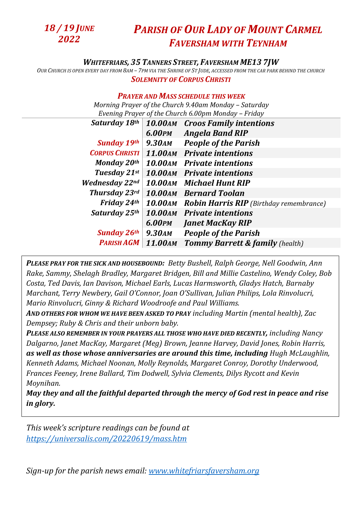

## *PARISH OF OUR LADY OF MOUNT CARMEL FAVERSHAM WITH TEYNHAM*

## *WHITEFRIARS, 35 TANNERS STREET, FAVERSHAM ME13 7JW*

OUR CHURCH IS OPEN EVERY DAY FROM 8AM - 7PM VIA THE SHRINE OF ST JUDE, ACCESSED FROM THE CAR PARK BEHIND THE CHURCH *SOLEMNITY OF CORPUS CHRISTI*

## *PRAYER AND MASS SCHEDULE THIS WEEK*

*Morning Prayer of the Church 9.40am Monday – Saturday Evening Prayer of the Church 6.00pm Monday – Friday* 

| 6.00PM<br><b>Angela Band RIP</b><br><b>Sunday 19th</b><br><b>People of the Parish</b><br><b>9.30AM</b><br><b>CORPUS CHRISTI</b><br>11.00 AM Private intentions |
|----------------------------------------------------------------------------------------------------------------------------------------------------------------|
|                                                                                                                                                                |
|                                                                                                                                                                |
|                                                                                                                                                                |
| <b>Monday 20th</b><br><b>10.00AM</b> Private intentions                                                                                                        |
| Tuesday 21st<br><b>10.00AM</b> Private intentions                                                                                                              |
| <b>Wednesday 22nd</b><br>10.00AM Michael Hunt RIP                                                                                                              |
| <b>Thursday 23rd</b><br><b>10.00AM</b> Bernard Toolan                                                                                                          |
| <b>Friday 24th</b><br><b>10.00AM</b> Robin Harris RIP (Birthday remembrance)                                                                                   |
| Saturday 25th<br>10.00 AM Private intentions                                                                                                                   |
| 6.00PM<br><b>Janet MacKay RIP</b>                                                                                                                              |
| <b>People of the Parish</b><br><b>Sunday 26th</b><br><b>9.30AM</b>                                                                                             |
| <b>11.00 AM</b><br><b>PARISH AGM</b><br><b>Tommy Barrett &amp; family (health)</b>                                                                             |

*PLEASE PRAY FOR THE SICK AND HOUSEBOUND: Betty Bushell, Ralph George, Nell Goodwin, Ann Rake, Sammy, Shelagh Bradley, Margaret Bridgen, Bill and Millie Castelino, Wendy Coley, Bob Costa, Ted Davis, Ian Davison, Michael Earls, Lucas Harmsworth, Gladys Hatch, Barnaby Marchant, Terry Newbery, Gail O'Connor, Joan O'Sullivan, Julian Philips, Lola Rinvolucri, Mario Rinvolucri, Ginny & Richard Woodroofe and Paul Williams.* 

*AND OTHERS FOR WHOM WE HAVE BEEN ASKED TO PRAY including Martin (mental health), Zac Dempsey; Ruby & Chris and their unborn baby.*

*PLEASE ALSO REMEMBER IN YOUR PRAYERS ALL THOSE WHO HAVE DIED RECENTLY, including Nancy Dalgarno, Janet MacKay, Margaret (Meg) Brown, Jeanne Harvey, David Jones, Robin Harris, as well as those whose anniversaries are around this time, including Hugh McLaughlin, Kenneth Adams, Michael Noonan, Molly Reynolds, Margaret Conroy, Dorothy Underwood, Frances Feeney, Irene Ballard, Tim Dodwell, Sylvia Clements, Dilys Rycott and Kevin Moynihan.*

*May they and all the faithful departed through the mercy of God rest in peace and rise in glory.*

*This week's scripture readings can be found at <https://universalis.com/20220619/mass.htm>*

*Sign-up for the parish news email: [www.whitefriarsfaversham.org](http://www.whitefriarsfaversham.org/)*